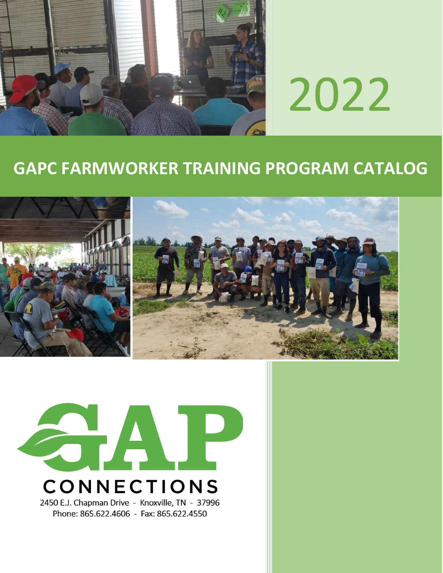

# 2022

# **GAPC FARMWORKER TRAINING PROGRAM CATALOG**





Phone: 865.622.4606 - Fax: 865.622.4550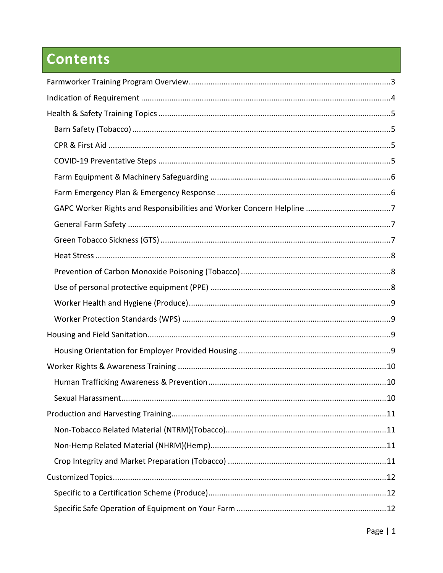# **Contents**

| .10 |
|-----|
|     |
|     |
|     |
|     |
|     |
|     |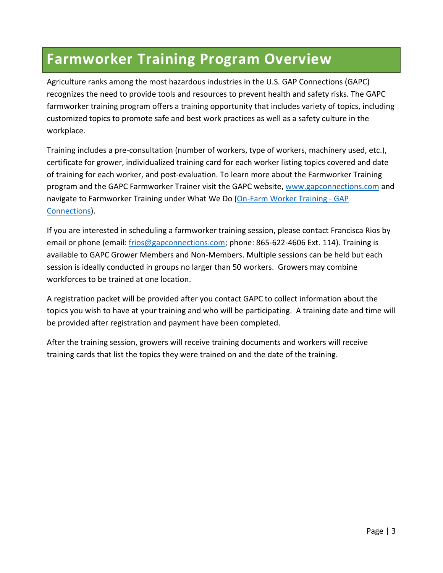#### <span id="page-3-0"></span>**Farmworker Training Program Overview**

Agriculture ranks among the most hazardous industries in the U.S. GAP Connections (GAPC) recognizes the need to provide tools and resources to prevent health and safety risks. The GAPC farmworker training program offers a training opportunity that includes variety of topics, including customized topics to promote safe and best work practices as well as a safety culture in the workplace.

Training includes a pre-consultation (number of workers, type of workers, machinery used, etc.), certificate for grower, individualized training card for each worker listing topics covered and date of training for each worker, and post-evaluation. To learn more about the Farmworker Training program and the GAPC Farmworker Trainer visit the GAPC website[, www.gapconnections.com](http://www.gapconnections.com/) and navigate to Farmworker Training under What We Do (On-Farm Worker Training - GAP [Connections\)](https://www.gapconnections.com/what-we-do/farmworker-training/on-farm-worker-training).

If you are interested in scheduling a farmworker training session, please contact Francisca Rios by email or phone (email: [frios@gapconnections.com;](mailto:frios@gapconnections.com) phone: 865-622-4606 Ext. 114). Training is available to GAPC Grower Members and Non-Members. Multiple sessions can be held but each session is ideally conducted in groups no larger than 50 workers. Growers may combine workforces to be trained at one location.

A registration packet will be provided after you contact GAPC to collect information about the topics you wish to have at your training and who will be participating. A training date and time will be provided after registration and payment have been completed.

After the training session, growers will receive training documents and workers will receive training cards that list the topics they were trained on and the date of the training.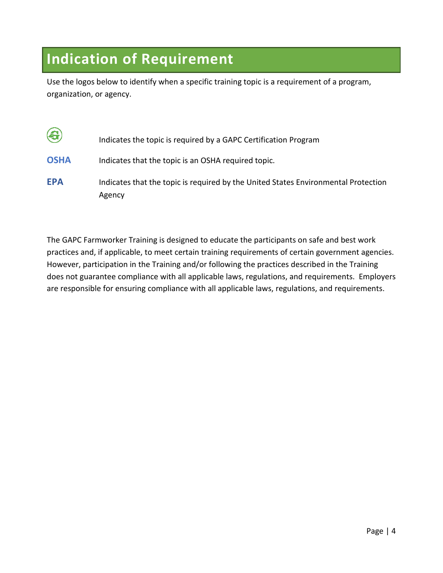#### <span id="page-4-0"></span>**Indication of Requirement**

Use the logos below to identify when a specific training topic is a requirement of a program, organization, or agency.

| $\left( 3 \right)$ | Indicates the topic is required by a GAPC Certification Program                              |
|--------------------|----------------------------------------------------------------------------------------------|
| <b>OSHA</b>        | Indicates that the topic is an OSHA required topic.                                          |
| <b>EPA</b>         | Indicates that the topic is required by the United States Environmental Protection<br>Agency |

The GAPC Farmworker Training is designed to educate the participants on safe and best work practices and, if applicable, to meet certain training requirements of certain government agencies. However, participation in the Training and/or following the practices described in the Training does not guarantee compliance with all applicable laws, regulations, and requirements. Employers are responsible for ensuring compliance with all applicable laws, regulations, and requirements.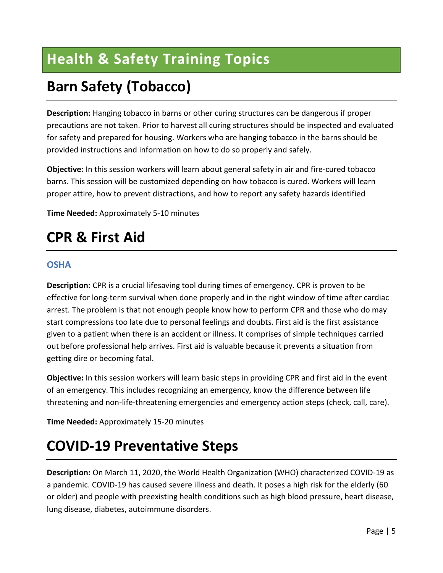# <span id="page-5-0"></span>**Health & Safety Training Topics**

# <span id="page-5-1"></span>**Barn Safety (Tobacco)**

**Description:** Hanging tobacco in barns or other curing structures can be dangerous if proper precautions are not taken. Prior to harvest all curing structures should be inspected and evaluated for safety and prepared for housing. Workers who are hanging tobacco in the barns should be provided instructions and information on how to do so properly and safely.

**Objective:** In this session workers will learn about general safety in air and fire-cured tobacco barns. This session will be customized depending on how tobacco is cured. Workers will learn proper attire, how to prevent distractions, and how to report any safety hazards identified

**Time Needed:** Approximately 5-10 minutes

#### <span id="page-5-2"></span>**CPR & First Aid**

#### **OSHA**

**Description:** CPR is a crucial lifesaving tool during times of emergency. CPR is proven to be effective for long-term survival when done properly and in the right window of time after cardiac arrest. The problem is that not enough people know how to perform CPR and those who do may start compressions too late due to personal feelings and doubts. First aid is the first assistance given to a patient when there is an accident or illness. It comprises of simple techniques carried out before professional help arrives. First aid is valuable because it prevents a situation from getting dire or becoming fatal.

**Objective:** In this session workers will learn basic steps in providing CPR and first aid in the event of an emergency. This includes recognizing an emergency, know the difference between life threatening and non-life-threatening emergencies and emergency action steps (check, call, care).

**Time Needed:** Approximately 15-20 minutes

#### <span id="page-5-3"></span>**COVID-19 Preventative Steps**

**Description:** On March 11, 2020, the World Health Organization (WHO) characterized COVID-19 as a pandemic. COVID-19 has caused severe illness and death. It poses a high risk for the elderly (60 or older) and people with preexisting health conditions such as high blood pressure, heart disease, lung disease, diabetes, autoimmune disorders.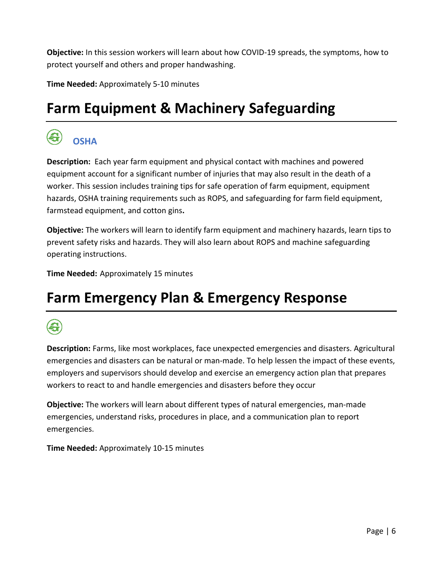**Objective:** In this session workers will learn about how COVID-19 spreads, the symptoms, how to protect yourself and others and proper handwashing.

**Time Needed:** Approximately 5-10 minutes

#### <span id="page-6-0"></span>**Farm Equipment & Machinery Safeguarding**

#### **OSHA**

**Description:** Each year farm equipment and physical contact with machines and powered equipment account for a significant number of injuries that may also result in the death of a worker. This session includes training tips for safe operation of farm equipment, equipment hazards, OSHA training requirements such as ROPS, and safeguarding for farm field equipment, farmstead equipment, and cotton gins**.** 

**Objective:** The workers will learn to identify farm equipment and machinery hazards, learn tips to prevent safety risks and hazards. They will also learn about ROPS and machine safeguarding operating instructions.

**Time Needed:** Approximately 15 minutes

#### <span id="page-6-1"></span>**Farm Emergency Plan & Emergency Response**

**Description:** Farms, like most workplaces, face unexpected emergencies and disasters. Agricultural emergencies and disasters can be natural or man-made. To help lessen the impact of these events, employers and supervisors should develop and exercise an emergency action plan that prepares workers to react to and handle emergencies and disasters before they occur

**Objective:** The workers will learn about different types of natural emergencies, man-made emergencies, understand risks, procedures in place, and a communication plan to report emergencies.

**Time Needed:** Approximately 10-15 minutes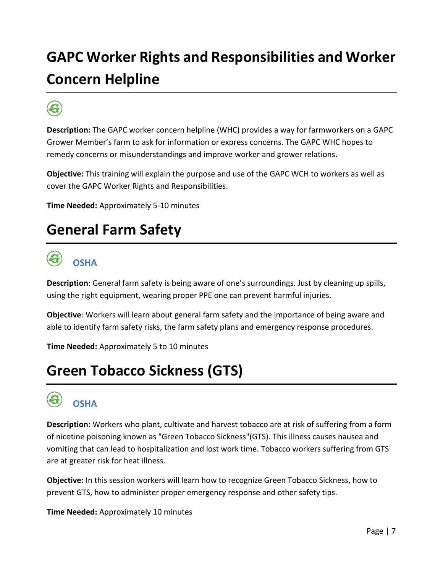# <span id="page-7-0"></span>**GAPC Worker Rights and Responsibilities and Worker Concern Helpline**

**Description:** The GAPC worker concern helpline (WHC) provides a way for farmworkers on a GAPC Grower Member's farm to ask for information or express concerns. The GAPC WHC hopes to remedy concerns or misunderstandings and improve worker and grower relations**.** 

**Objective:** This training will explain the purpose and use of the GAPC WCH to workers as well as cover the GAPC Worker Rights and Responsibilities.

**Time Needed:** Approximately 5-10 minutes

#### <span id="page-7-1"></span>**General Farm Safety**



#### **OSHA**

**Description**: General farm safety is being aware of one's surroundings. Just by cleaning up spills, using the right equipment, wearing proper PPE one can prevent harmful injuries.

**Objective**: Workers will learn about general farm safety and the importance of being aware and able to identify farm safety risks, the farm safety plans and emergency response procedures.

**Time Needed:** Approximately 5 to 10 minutes

#### <span id="page-7-2"></span>**Green Tobacco Sickness (GTS)**



#### **OSHA**

**Description**: Workers who plant, cultivate and harvest tobacco are at risk of suffering from a form of nicotine poisoning known as "Green Tobacco Sickness"(GTS). This illness causes nausea and vomiting that can lead to hospitalization and lost work time. Tobacco workers suffering from GTS are at greater risk for heat illness.

**Objective:** In this session workers will learn how to recognize Green Tobacco Sickness, how to prevent GTS, how to administer proper emergency response and other safety tips.

**Time Needed:** Approximately 10 minutes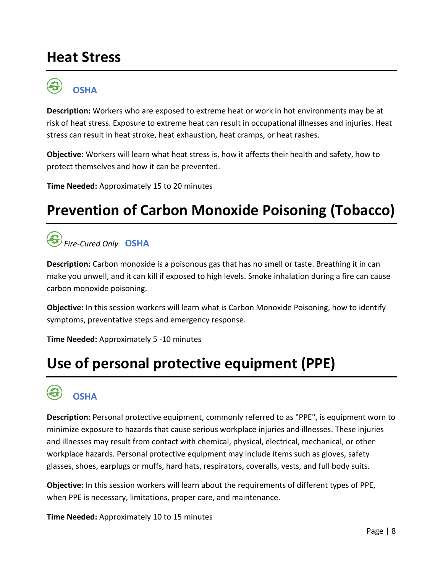#### <span id="page-8-0"></span>**Heat Stress**



**OSHA**

**Description:** Workers who are exposed to extreme heat or work in hot environments may be at risk of heat stress. Exposure to extreme heat can result in occupational illnesses and injuries. Heat stress can result in heat stroke, heat exhaustion, heat cramps, or heat rashes.

**Objective:** Workers will learn what heat stress is, how it affects their health and safety, how to protect themselves and how it can be prevented.

**Time Needed:** Approximately 15 to 20 minutes

#### <span id="page-8-1"></span>**Prevention of Carbon Monoxide Poisoning (Tobacco)**

#### *Fire-Cured Only* **OSHA**

**Description:** Carbon monoxide is a poisonous gas that has no smell or taste. Breathing it in can make you unwell, and it can kill if exposed to high levels. Smoke inhalation during a fire can cause carbon monoxide poisoning.

**Objective:** In this session workers will learn what is Carbon Monoxide Poisoning, how to identify symptoms, preventative steps and emergency response.

**Time Needed:** Approximately 5 -10 minutes

# <span id="page-8-2"></span>**Use of personal protective equipment (PPE)**



**OSHA**

**Description:** Personal protective equipment, commonly referred to as "PPE", is equipment worn to minimize exposure to hazards that cause serious workplace injuries and illnesses. These injuries and illnesses may result from contact with chemical, physical, electrical, mechanical, or other workplace hazards. Personal protective equipment may include items such as gloves, safety glasses, shoes, earplugs or muffs, hard hats, respirators, coveralls, vests, and full body suits.

**Objective:** In this session workers will learn about the requirements of different types of PPE, when PPE is necessary, limitations, proper care, and maintenance.

**Time Needed:** Approximately 10 to 15 minutes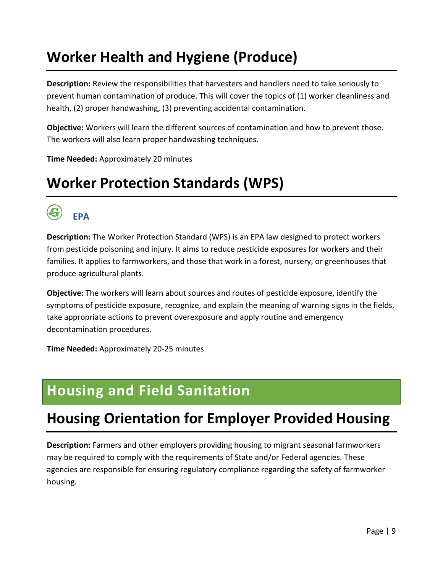# <span id="page-9-0"></span>**Worker Health and Hygiene (Produce)**

**Description:** Review the responsibilities that harvesters and handlers need to take seriously to prevent human contamination of produce. This will cover the topics of (1) worker cleanliness and health, (2) proper handwashing, (3) preventing accidental contamination.

**Objective:** Workers will learn the different sources of contamination and how to prevent those. The workers will also learn proper handwashing techniques.

**Time Needed:** Approximately 20 minutes

#### <span id="page-9-1"></span>**Worker Protection Standards (WPS)**



**Description:** The Worker Protection Standard (WPS) is an EPA law designed to protect workers from pesticide poisoning and injury. It aims to reduce pesticide exposures for workers and their families. It applies to farmworkers, and those that work in a forest, nursery, or greenhouses that produce agricultural plants.

**Objective:** The workers will learn about sources and routes of pesticide exposure, identify the symptoms of pesticide exposure, recognize, and explain the meaning of warning signs in the fields, take appropriate actions to prevent overexposure and apply routine and emergency decontamination procedures.

**Time Needed:** Approximately 20-25 minutes

#### <span id="page-9-2"></span>**Housing and Field Sanitation**

#### <span id="page-9-3"></span>**Housing Orientation for Employer Provided Housing**

**Description:** Farmers and other employers providing housing to migrant seasonal farmworkers may be required to comply with the requirements of State and/or Federal agencies. These agencies are responsible for ensuring regulatory compliance regarding the safety of farmworker housing.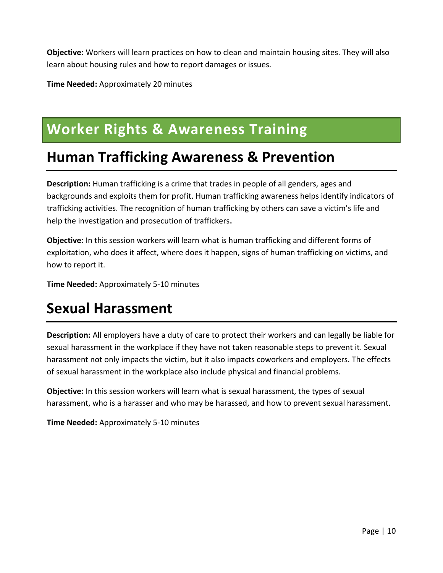**Objective:** Workers will learn practices on how to clean and maintain housing sites. They will also learn about housing rules and how to report damages or issues.

**Time Needed:** Approximately 20 minutes

#### <span id="page-10-0"></span>**Worker Rights & Awareness Training**

#### <span id="page-10-1"></span>**Human Trafficking Awareness & Prevention**

**Description:** Human trafficking is a crime that trades in people of all genders, ages and backgrounds and exploits them for profit. Human trafficking awareness helps identify indicators of trafficking activities. The recognition of human trafficking by others can save a victim's life and help the investigation and prosecution of traffickers.

**Objective:** In this session workers will learn what is human trafficking and different forms of exploitation, who does it affect, where does it happen, signs of human trafficking on victims, and how to report it.

**Time Needed:** Approximately 5-10 minutes

#### <span id="page-10-2"></span>**Sexual Harassment**

**Description:** All employers have a duty of care to protect their workers and can legally be liable for sexual harassment in the workplace if they have not taken reasonable steps to prevent it. Sexual harassment not only impacts the victim, but it also impacts coworkers and employers. The effects of sexual harassment in the workplace also include physical and financial problems.

**Objective:** In this session workers will learn what is sexual harassment, the types of sexual harassment, who is a harasser and who may be harassed, and how to prevent sexual harassment.

**Time Needed:** Approximately 5-10 minutes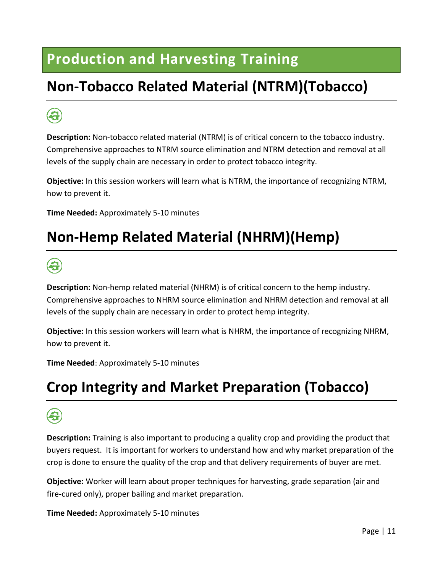#### <span id="page-11-0"></span>**Production and Harvesting Training**

# <span id="page-11-1"></span>**Non-Tobacco Related Material (NTRM)(Tobacco)**

# 6

**Description:** Non-tobacco related material (NTRM) is of critical concern to the tobacco industry. Comprehensive approaches to NTRM source elimination and NTRM detection and removal at all levels of the supply chain are necessary in order to protect tobacco integrity.

**Objective:** In this session workers will learn what is NTRM, the importance of recognizing NTRM, how to prevent it.

**Time Needed:** Approximately 5-10 minutes

# <span id="page-11-2"></span>**Non-Hemp Related Material (NHRM)(Hemp)**



**Description:** Non-hemp related material (NHRM) is of critical concern to the hemp industry. Comprehensive approaches to NHRM source elimination and NHRM detection and removal at all levels of the supply chain are necessary in order to protect hemp integrity.

**Objective:** In this session workers will learn what is NHRM, the importance of recognizing NHRM, how to prevent it.

**Time Needed**: Approximately 5-10 minutes

#### <span id="page-11-3"></span>**Crop Integrity and Market Preparation (Tobacco)**

**Description:** Training is also important to producing a quality crop and providing the product that buyers request. It is important for workers to understand how and why market preparation of the crop is done to ensure the quality of the crop and that delivery requirements of buyer are met.

**Objective:** Worker will learn about proper techniques for harvesting, grade separation (air and fire-cured only), proper bailing and market preparation.

**Time Needed:** Approximately 5-10 minutes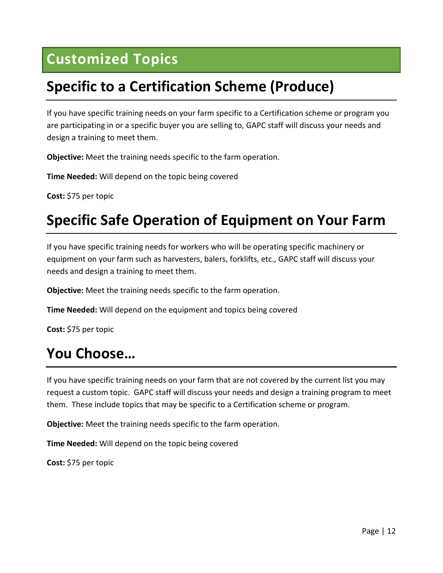#### <span id="page-12-0"></span>**Customized Topics**

#### <span id="page-12-1"></span>**Specific to a Certification Scheme (Produce)**

If you have specific training needs on your farm specific to a Certification scheme or program you are participating in or a specific buyer you are selling to, GAPC staff will discuss your needs and design a training to meet them.

**Objective:** Meet the training needs specific to the farm operation.

**Time Needed:** Will depend on the topic being covered

**Cost:** \$75 per topic

#### <span id="page-12-2"></span>**Specific Safe Operation of Equipment on Your Farm**

If you have specific training needs for workers who will be operating specific machinery or equipment on your farm such as harvesters, balers, forklifts, etc., GAPC staff will discuss your needs and design a training to meet them.

**Objective:** Meet the training needs specific to the farm operation.

**Time Needed:** Will depend on the equipment and topics being covered

**Cost:** \$75 per topic

#### <span id="page-12-3"></span>**You Choose…**

If you have specific training needs on your farm that are not covered by the current list you may request a custom topic. GAPC staff will discuss your needs and design a training program to meet them. These include topics that may be specific to a Certification scheme or program.

**Objective:** Meet the training needs specific to the farm operation.

**Time Needed:** Will depend on the topic being covered

**Cost:** \$75 per topic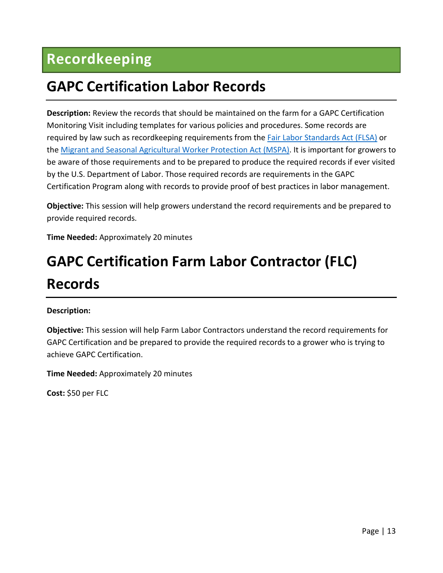### <span id="page-13-0"></span>**Recordkeeping**

#### <span id="page-13-1"></span>**GAPC Certification Labor Records**

**Description:** Review the records that should be maintained on the farm for a GAPC Certification Monitoring Visit including templates for various policies and procedures. Some records are required by law such as recordkeeping requirements from the **Fair Labor Standards Act** (FLSA) or the [Migrant and Seasonal Agricultural Worker Protection Act \(MSPA\).](https://www.dol.gov/agencies/whd/agriculture/mspa) It is important for growers to be aware of those requirements and to be prepared to produce the required records if ever visited by the U.S. Department of Labor. Those required records are requirements in the GAPC Certification Program along with records to provide proof of best practices in labor management.

**Objective:** This session will help growers understand the record requirements and be prepared to provide required records.

**Time Needed:** Approximately 20 minutes

# <span id="page-13-2"></span>**GAPC Certification Farm Labor Contractor (FLC) Records**

#### **Description:**

**Objective:** This session will help Farm Labor Contractors understand the record requirements for GAPC Certification and be prepared to provide the required records to a grower who is trying to achieve GAPC Certification.

**Time Needed:** Approximately 20 minutes

**Cost:** \$50 per FLC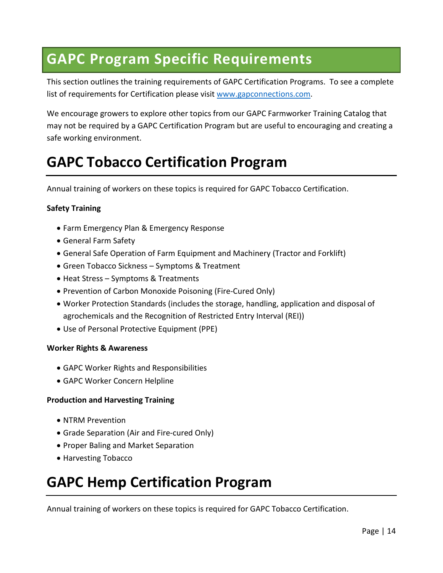#### <span id="page-14-0"></span>**GAPC Program Specific Requirements**

This section outlines the training requirements of GAPC Certification Programs. To see a complete list of requirements for Certification please visit [www.gapconnections.com.](http://www.gapconnections.com/)

We encourage growers to explore other topics from our GAPC Farmworker Training Catalog that may not be required by a GAPC Certification Program but are useful to encouraging and creating a safe working environment.

#### <span id="page-14-1"></span>**GAPC Tobacco Certification Program**

Annual training of workers on these topics is required for GAPC Tobacco Certification.

#### **Safety Training**

- Farm Emergency Plan & Emergency Response
- General Farm Safety
- General Safe Operation of Farm Equipment and Machinery (Tractor and Forklift)
- Green Tobacco Sickness Symptoms & Treatment
- Heat Stress Symptoms & Treatments
- Prevention of Carbon Monoxide Poisoning (Fire-Cured Only)
- Worker Protection Standards (includes the storage, handling, application and disposal of agrochemicals and the Recognition of Restricted Entry Interval (REI))
- Use of Personal Protective Equipment (PPE)

#### **Worker Rights & Awareness**

- GAPC Worker Rights and Responsibilities
- GAPC Worker Concern Helpline

#### **Production and Harvesting Training**

- NTRM Prevention
- Grade Separation (Air and Fire-cured Only)
- Proper Baling and Market Separation
- Harvesting Tobacco

#### <span id="page-14-2"></span>**GAPC Hemp Certification Program**

Annual training of workers on these topics is required for GAPC Tobacco Certification.